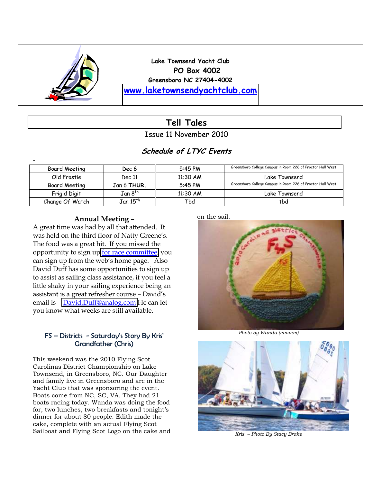

**Lake Townsend Yacht Club PO Box 4002 Greensboro NC 27404-4002 [www.laketownsendyachtclub.com](http://www.laketownsendyachtclub.com/)**

## **Tell Tales**

Issue 11 November 2010

## **Schedule of LTYC Events**

| -               |                     |            |                                                            |
|-----------------|---------------------|------------|------------------------------------------------------------|
| Board Meeting   | Dec 6               | 5:45 PM    | Greensboro College Campus in Room 226 of Proctor Hall West |
| Old Frostie     | Dec 11              | $11:30$ AM | Lake Townsend                                              |
| Board Meeting   | Jan 6 THUR.         | 5:45 PM    | Greensboro College Campus in Room 226 of Proctor Hall West |
| Frigid Digit    | Jan 8 <sup>th</sup> | 11:30 AM   | Lake Townsend                                              |
| Change Of Watch | $\,$ Jan 15 $^{th}$ | Tbd        | tbd                                                        |

### **Annual Meeting -**

A great time was had by all that attended. It was held on the third floor of Natty Greene's. The food was a great hit. If you missed the opportunity to sign up [for race committee,](https://spreadsheets.google.com/ccc?key=0AoMh5EiI9VqadFE1YVhSN1NWdXduY191VHVfcThDUFE&hl=en#gid=1) you can sign up from the web's home page. Also David Duff has some opportunities to sign up to assist as sailing class assistance, if you feel a little shaky in your sailing experience being an assistant is a great refresher course - David's email is - [David.Duff@analog.com](mailto:David.Duff@analog.com) He can let you know what weeks are still available.

### FS - Districts - Saturday's Story By Kris' Grandfather (Chris)

This weekend was the 2010 Flying Scot Carolinas District Championship on Lake Townsend, in Greensboro, NC. Our Daughter and family live in Greensboro and are in the Yacht Club that was sponsoring the event. Boats come from NC, SC, VA. They had 21 boats racing today. Wanda was doing the food for, two lunches, two breakfasts and tonight's dinner for about 80 people. Edith made the cake, complete with an actual Flying Scot Sailboat and Flying Scot Logo on the cake and

#### on the sail.



*Photo by Wanda (mmmm)*



*Kris ² Photo By Stacy Brake*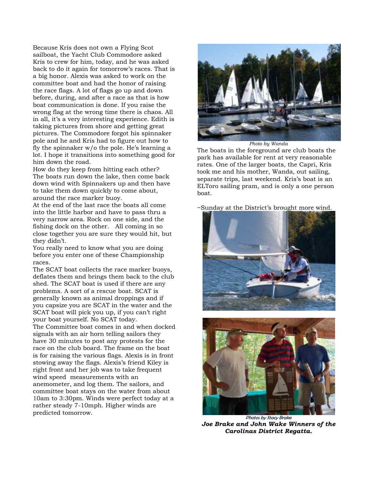Because Kris does not own a Flying Scot sailboat, the Yacht Club Commodore asked Kris to crew for him, today, and he was asked back to do it again for tomorrow's races. That is a big honor. Alexis was asked to work on the committee boat and had the honor of raising the race flags. A lot of flags go up and down before, during, and after a race as that is how boat communication is done. If you raise the wrong flag at the wrong time there is chaos. All in all, it's a very interesting experience. Edith is taking pictures from shore and getting great pictures. The Commodore forgot his spinnaker pole and he and Kris had to figure out how to fly the spinnaker  $w/o$  the pole. He's learning a lot. I hope it transitions into something good for him down the road.

How do they keep from hitting each other? The boats run down the lake, then come back down wind with Spinnakers up and then have to take them down quickly to come about, around the race marker buoy.

At the end of the last race the boats all come into the little harbor and have to pass thru a very narrow area. Rock on one side, and the fishing dock on the other. All coming in so close together you are sure they would hit, but they didn't.

You really need to know what you are doing before you enter one of these Championship races.

The SCAT boat collects the race marker buoys, deflates them and brings them back to the club shed. The SCAT boat is used if there are any problems. A sort of a rescue boat. SCAT is generally known as animal droppings and if you capsize you are SCAT in the water and the SCAT boat will pick you up, if you can't right your boat yourself. No SCAT today.

The Committee boat comes in and when docked signals with an air horn telling sailors they have 30 minutes to post any protests for the race on the club board. The frame on the boat is for raising the various flags. Alexis is in front stowing away the flags. Alexis's friend Kiley is right front and her job was to take frequent wind speed measurements with an anemometer, and log them. The sailors, and committee boat stays on the water from about 10am to 3:30pm. Winds were perfect today at a rather steady 7-10mph. Higher winds are predicted tomorrow.



*Photo by Wanda*

The boats in the foreground are club boats the park has available for rent at very reasonable rates. One of the larger boats, the Capri, Kris took me and his mother, Wanda, out sailing, separate trips, last weekend. Kris's boat is an ELToro sailing pram, and is only a one person boat.

~Sunday at the District's brought more wind.





Photos by Stacy Brake *Joe Brake and John Wake Winners of the Carolinas District Regatta.*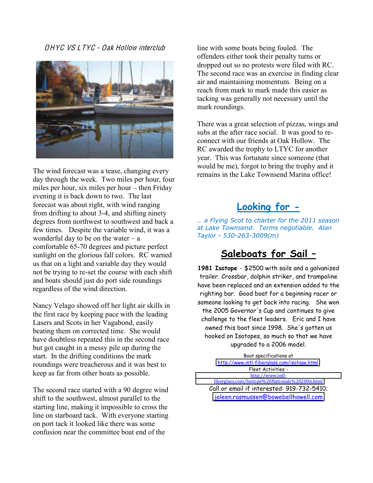OHYC VS LTYC - Oak Hollow interclub



The wind forecast was a tease, changing every day through the week. Two miles per hour, four miles per hour, six miles per hour  $-$  then Friday evening it is back down to two. The last forecast was about right, with wind ranging from drifting to about 3-4, and shifting ninety degrees from northwest to southwest and back a few times. Despite the variable wind, it was a wonderful day to be on the water  $-\alpha$ comfortable 65-70 degrees and picture perfect sunlight on the glorious fall colors. RC warned us that on a light and variable day they would not be trying to re-set the course with each shift and boats should just do port side roundings regardless of the wind direction.

Nancy Velago showed off her light air skills in the first race by keeping pace with the leading Lasers and Scots in her Vagabond, easily beating them on corrected time. She would have doubtless repeated this in the second race but got caught in a messy pile up during the start. In the drifting conditions the mark roundings were treacherous and it was best to keep as far from other boats as possible.

The second race started with a 90 degree wind shift to the southwest, almost parallel to the starting line, making it impossible to cross the line on starboard tack. With everyone starting on port tack it looked like there was some confusion near the committee boat end of the

line with some boats being fouled. The offenders either took their penalty turns or dropped out so no protests were filed with RC. The second race was an exercise in finding clear air and maintaining momentum. Being on a reach from mark to mark made this easier as tacking was generally not necessary until the mark roundings.

There was a great selection of pizzas, wings and subs at the after race social. It was good to reconnect with our friends at Oak Hollow. The RC awarded the trophy to LTYC for another year. This was fortunate since someone (that would be me), forgot to bring the trophy and it remains in the Lake Townsend Marina office!

# **Looking for -**

*m* a Flying Scot to charter for the 2011 season *at"Lake"Townsend.""Terms"negotiable. Alan" Taylor"= 530=263=3009(m)*

# **Saleboats for Sail -**

**1981 Isotope** - \$2500 with sails and a galvanized trailer. Crossbar, dolphin striker, and trampoline have been replaced and an extension added to the righting bar. Good boat for a beginning racer or someone looking to get back into racing. She won the 2005 Governor's Cup and continues to give challenge to the fleet leaders. Eric and I have owned this boat since 1998. She's gotten us hooked on Isotopes, so much so that we have upgraded to a 2006 model.

Boat specifications at [http://www.intl-fiberglass.com/isotope.html.](http://www.intl-fiberglass.com/isotope.html) Fleet Activities http://www.intl[fiberglass.com/Isotope%20Nationals%202006.html](http://www.intl-fiberglass.com/Isotope%20Nationals%202006.html) Call or email if interested: 919-732-5410; [joleen.rasmussen@bowebellhowell.com](mailto:joleen.rasmussen@bowebellhowell.com)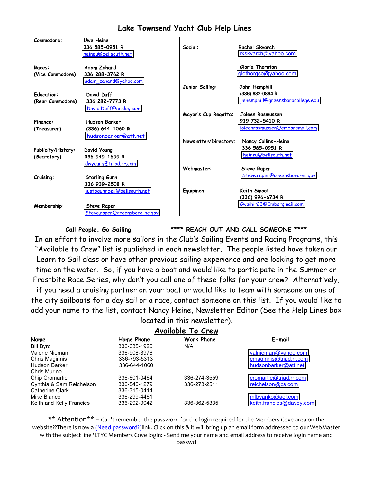| Lake Townsend Yacht Club Help Lines |                               |                       |                                       |  |  |  |  |
|-------------------------------------|-------------------------------|-----------------------|---------------------------------------|--|--|--|--|
| Commodore:                          | Uwe Heine                     |                       |                                       |  |  |  |  |
|                                     | 336 585-0951 R                | Social:               | Rachel Skvarch                        |  |  |  |  |
|                                     | heineu@bellsouth.net          |                       | rkskvarch@yahoo.com                   |  |  |  |  |
| Races:                              | <b>Adam Zahand</b>            |                       | Gloria Thornton                       |  |  |  |  |
| (Vice Commodore)                    | 336 288-3762 R                |                       | glothorgso@yahoo.com                  |  |  |  |  |
|                                     | adam_zahand@yahoo.com         |                       |                                       |  |  |  |  |
|                                     |                               | Junior Sailing:       | John Hemphill                         |  |  |  |  |
| <b>Education:</b>                   | David Duff                    |                       | (336) 632-0864 R                      |  |  |  |  |
| (Rear Commodore)                    | 336 282-7773 R                |                       | jmhemphill@greensborocollege.edu      |  |  |  |  |
|                                     | David.Duff@analog.com         |                       |                                       |  |  |  |  |
|                                     |                               | Mayor's Cup Regatta:  | Joleen Rasmussen                      |  |  |  |  |
| Finance:                            | <b>Hudson Barker</b>          |                       | 919 732-5410 R                        |  |  |  |  |
| (Treasurer)                         | (336) 644-1060 R              |                       | <u>joleenrasmussen@embargmail.com</u> |  |  |  |  |
|                                     | hudsonbarker@att.net          |                       |                                       |  |  |  |  |
|                                     |                               | Newsletter/Directory: | Nancy Collins-Heine                   |  |  |  |  |
| Publicity/History:                  | David Young                   |                       | 336 585-0951 R                        |  |  |  |  |
| (Secretary)                         | 336 545-1655 R                |                       | heineu@bellsouth.net                  |  |  |  |  |
|                                     | dwyoung@triad.rr.com          |                       |                                       |  |  |  |  |
|                                     |                               | Webmaster:            | <b>Steve Raper</b>                    |  |  |  |  |
| Cruising:                           | <b>Starling Gunn</b>          |                       | Steve.raper@greensboro-nc.gov         |  |  |  |  |
|                                     | 336 939-2508 R                |                       |                                       |  |  |  |  |
|                                     | justbgunnbell@bellsouth.net   | Equipment             | Keith Smoot                           |  |  |  |  |
|                                     |                               |                       | (336) 996-6734 R                      |  |  |  |  |
| Membership:                         | <b>Steve Raper</b>            |                       | Gwaihir23@Embargmail.com              |  |  |  |  |
|                                     | Steve.raper@greensboro-nc.gov |                       |                                       |  |  |  |  |

**Call People. Go Sailing \*\*\*\* REACH OUT AND CALL SOMEONE \*\*\*\***

In an effort to involve more sailors in the Club's Sailing Events and Racing Programs, this "Available to Crew" list is published in each newsletter. The people listed have taken our Learn to Sail class or have other previous sailing experience and are looking to get more time on the water. So, if you have a boat and would like to participate in the Summer or Frostbite Race Series, why don't you call one of these folks for your crew? Alternatively,

if you need a cruising partner on your boat or would like to team with someone on one of the city sailboats for a day sail or a race, contact someone on this list. If you would like to add your name to the list, contact Nancy Heine, Newsletter Editor (See the Help Lines box located in this newsletter).

### **Available To Crew**

| $E$ -mail                |
|--------------------------|
|                          |
| valnieman@yahoo.com      |
| cmaginnis@triad.rr.com   |
| hudsonbarker@att.net     |
|                          |
| cromartie@triad.rr.com   |
| reichelson@cs.com        |
|                          |
| mfbyanko@aol.com         |
| keith.francies@davey.com |
|                          |

\*\* Attention\*\* – Can't remember the password for the login required for the Members Cove area on the website??There is now a (Need password?)link. Click on this & it will bring up an email form addressed to our WebMaster with the subject line 'LTYC Members Cove login: - Send me your name and email address to receive login name and passwd